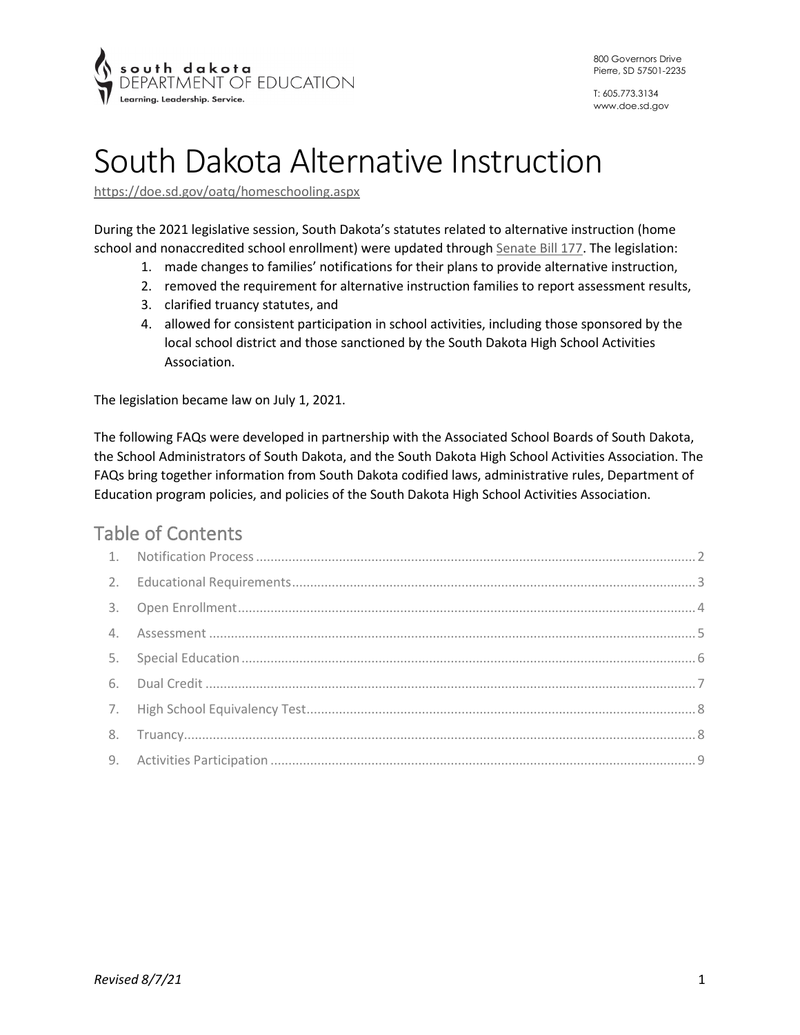

# South Dakota Alternative Instruction

<https://doe.sd.gov/oatq/homeschooling.aspx>

During the 2021 legislative session, South Dakota's statutes related to alternative instruction (home school and nonaccredited school enrollment) were updated through [Senate Bill 177.](https://mylrc.sdlegislature.gov/api/Documents/219000.pdf) The legislation:

- 1. made changes to families' notifications for their plans to provide alternative instruction,
- 2. removed the requirement for alternative instruction families to report assessment results,
- 3. clarified truancy statutes, and
- 4. allowed for consistent participation in school activities, including those sponsored by the local school district and those sanctioned by the South Dakota High School Activities Association.

The legislation became law on July 1, 2021.

The following FAQs were developed in partnership with the Associated School Boards of South Dakota, the School Administrators of South Dakota, and the South Dakota High School Activities Association. The FAQs bring together information from South Dakota codified laws, administrative rules, Department of Education program policies, and policies of the South Dakota High School Activities Association.

# Table of Contents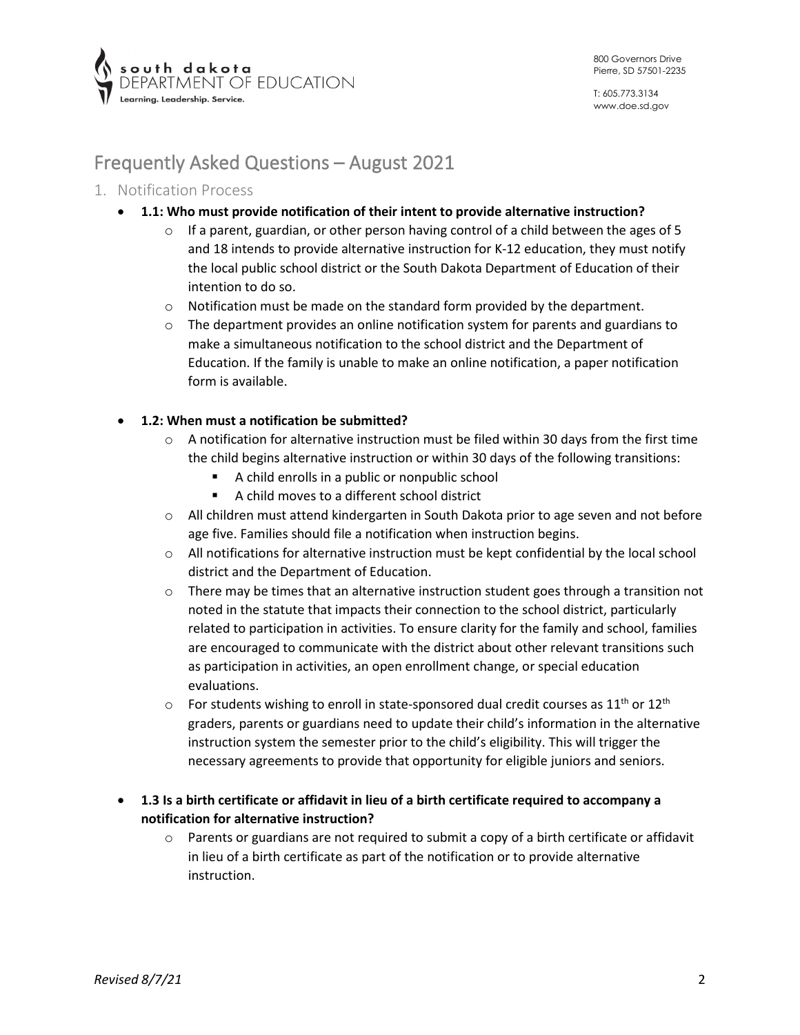

# Frequently Asked Questions – August 2021

# <span id="page-1-0"></span>1. Notification Process

- **1.1: Who must provide notification of their intent to provide alternative instruction?** 
	- $\circ$  If a parent, guardian, or other person having control of a child between the ages of 5 and 18 intends to provide alternative instruction for K-12 education, they must notify the local public school district or the South Dakota Department of Education of their intention to do so.
	- $\circ$  Notification must be made on the standard form provided by the department.
	- $\circ$  The department provides an online notification system for parents and guardians to make a simultaneous notification to the school district and the Department of Education. If the family is unable to make an online notification, a paper notification form is available.

#### • **1.2: When must a notification be submitted?**

- $\circ$  A notification for alternative instruction must be filed within 30 days from the first time the child begins alternative instruction or within 30 days of the following transitions:
	- A child enrolls in a public or nonpublic school
	- A child moves to a different school district
- $\circ$  All children must attend kindergarten in South Dakota prior to age seven and not before age five. Families should file a notification when instruction begins.
- o All notifications for alternative instruction must be kept confidential by the local school district and the Department of Education.
- $\circ$  There may be times that an alternative instruction student goes through a transition not noted in the statute that impacts their connection to the school district, particularly related to participation in activities. To ensure clarity for the family and school, families are encouraged to communicate with the district about other relevant transitions such as participation in activities, an open enrollment change, or special education evaluations.
- $\circ$  For students wishing to enroll in state-sponsored dual credit courses as 11<sup>th</sup> or 12<sup>th</sup> graders, parents or guardians need to update their child's information in the alternative instruction system the semester prior to the child's eligibility. This will trigger the necessary agreements to provide that opportunity for eligible juniors and seniors.
- **1.3 Is a birth certificate or affidavit in lieu of a birth certificate required to accompany a notification for alternative instruction?** 
	- $\circ$  Parents or guardians are not required to submit a copy of a birth certificate or affidavit in lieu of a birth certificate as part of the notification or to provide alternative instruction.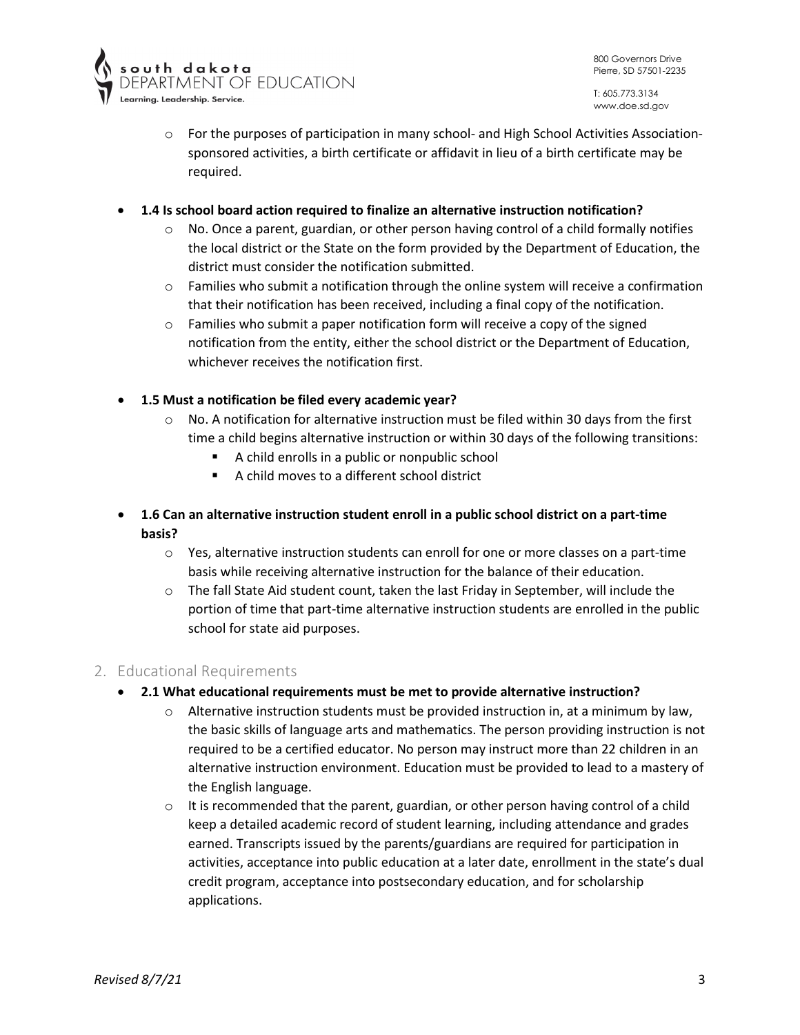

- $\circ$  For the purposes of participation in many school- and High School Activities Associationsponsored activities, a birth certificate or affidavit in lieu of a birth certificate may be required.
- **1.4 Is school board action required to finalize an alternative instruction notification?** 
	- $\circ$  No. Once a parent, guardian, or other person having control of a child formally notifies the local district or the State on the form provided by the Department of Education, the district must consider the notification submitted.
	- $\circ$  Families who submit a notification through the online system will receive a confirmation that their notification has been received, including a final copy of the notification.
	- o Families who submit a paper notification form will receive a copy of the signed notification from the entity, either the school district or the Department of Education, whichever receives the notification first.
- **1.5 Must a notification be filed every academic year?** 
	- $\circ$  No. A notification for alternative instruction must be filed within 30 days from the first time a child begins alternative instruction or within 30 days of the following transitions:
		- A child enrolls in a public or nonpublic school
		- A child moves to a different school district
- **1.6 Can an alternative instruction student enroll in a public school district on a part-time basis?** 
	- $\circ$  Yes, alternative instruction students can enroll for one or more classes on a part-time basis while receiving alternative instruction for the balance of their education.
	- $\circ$  The fall State Aid student count, taken the last Friday in September, will include the portion of time that part-time alternative instruction students are enrolled in the public school for state aid purposes.

#### <span id="page-2-0"></span>2. Educational Requirements

- **2.1 What educational requirements must be met to provide alternative instruction?** 
	- $\circ$  Alternative instruction students must be provided instruction in, at a minimum by law, the basic skills of language arts and mathematics. The person providing instruction is not required to be a certified educator. No person may instruct more than 22 children in an alternative instruction environment. Education must be provided to lead to a mastery of the English language.
	- $\circ$  It is recommended that the parent, guardian, or other person having control of a child keep a detailed academic record of student learning, including attendance and grades earned. Transcripts issued by the parents/guardians are required for participation in activities, acceptance into public education at a later date, enrollment in the state's dual credit program, acceptance into postsecondary education, and for scholarship applications.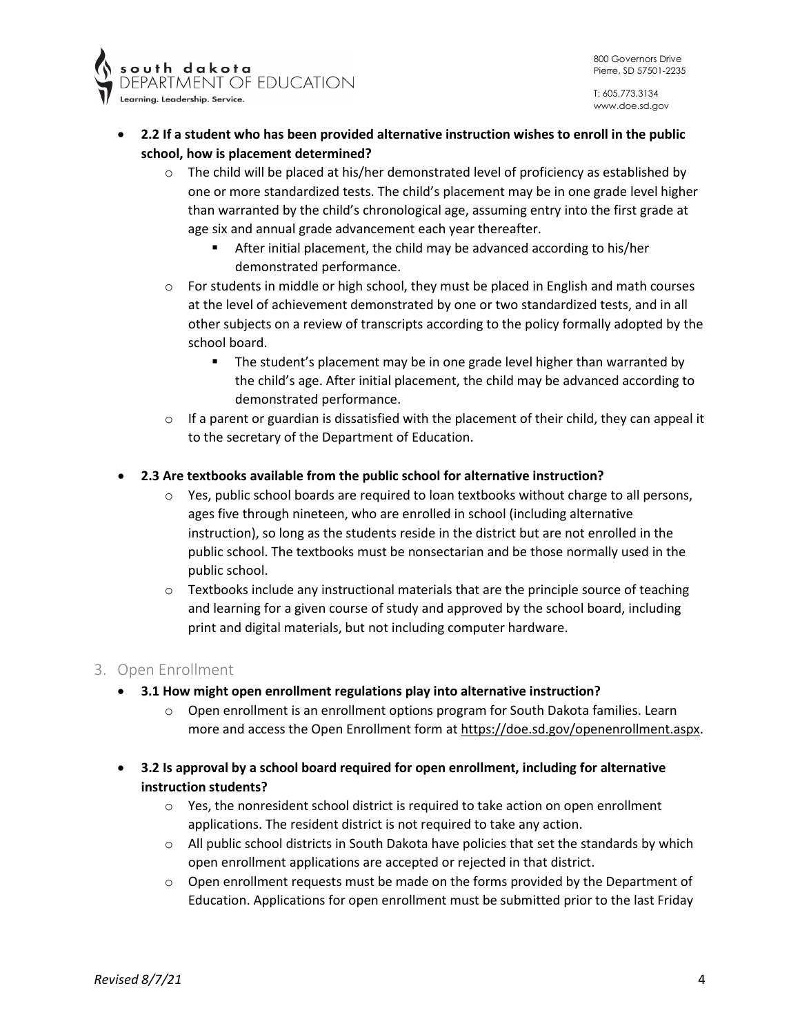



- **2.2 If a student who has been provided alternative instruction wishes to enroll in the public school, how is placement determined?** 
	- $\circ$  The child will be placed at his/her demonstrated level of proficiency as established by one or more standardized tests. The child's placement may be in one grade level higher than warranted by the child's chronological age, assuming entry into the first grade at age six and annual grade advancement each year thereafter.
		- After initial placement, the child may be advanced according to his/her demonstrated performance.
	- $\circ$  For students in middle or high school, they must be placed in English and math courses at the level of achievement demonstrated by one or two standardized tests, and in all other subjects on a review of transcripts according to the policy formally adopted by the school board.
		- The student's placement may be in one grade level higher than warranted by the child's age. After initial placement, the child may be advanced according to demonstrated performance.
	- $\circ$  If a parent or guardian is dissatisfied with the placement of their child, they can appeal it to the secretary of the Department of Education.

# • **2.3 Are textbooks available from the public school for alternative instruction?**

- $\circ$  Yes, public school boards are required to loan textbooks without charge to all persons, ages five through nineteen, who are enrolled in school (including alternative instruction), so long as the students reside in the district but are not enrolled in the public school. The textbooks must be nonsectarian and be those normally used in the public school.
- $\circ$  Textbooks include any instructional materials that are the principle source of teaching and learning for a given course of study and approved by the school board, including print and digital materials, but not including computer hardware.

#### <span id="page-3-0"></span>3. Open Enrollment

- **3.1 How might open enrollment regulations play into alternative instruction?** 
	- $\circ$  Open enrollment is an enrollment options program for South Dakota families. Learn more and access the Open Enrollment form at [https://doe.sd.gov/openenrollment.aspx.](https://doe.sd.gov/openenrollment.aspx)
- **3.2 Is approval by a school board required for open enrollment, including for alternative instruction students?** 
	- $\circ$  Yes, the nonresident school district is required to take action on open enrollment applications. The resident district is not required to take any action.
	- $\circ$  All public school districts in South Dakota have policies that set the standards by which open enrollment applications are accepted or rejected in that district.
	- $\circ$  Open enrollment requests must be made on the forms provided by the Department of Education. Applications for open enrollment must be submitted prior to the last Friday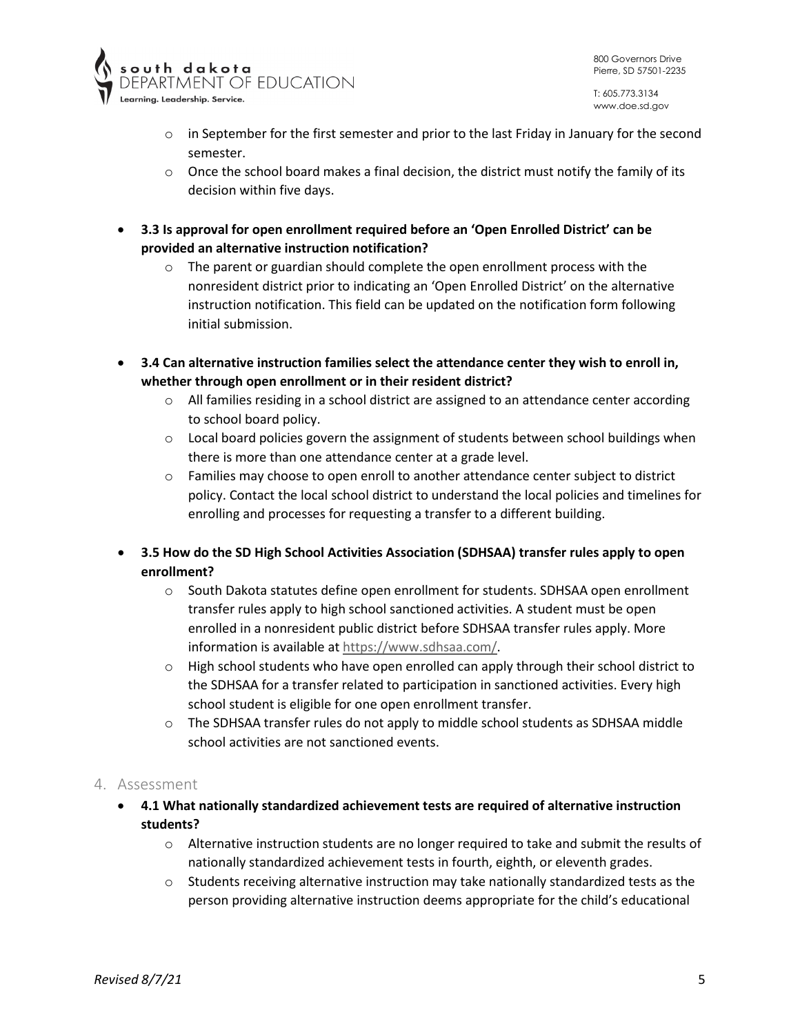

- $\circ$  in September for the first semester and prior to the last Friday in January for the second semester.
- $\circ$  Once the school board makes a final decision, the district must notify the family of its decision within five days.
- **3.3 Is approval for open enrollment required before an 'Open Enrolled District' can be provided an alternative instruction notification?** 
	- $\circ$  The parent or guardian should complete the open enrollment process with the nonresident district prior to indicating an 'Open Enrolled District' on the alternative instruction notification. This field can be updated on the notification form following initial submission.
- **3.4 Can alternative instruction families select the attendance center they wish to enroll in, whether through open enrollment or in their resident district?** 
	- $\circ$  All families residing in a school district are assigned to an attendance center according to school board policy.
	- $\circ$  Local board policies govern the assignment of students between school buildings when there is more than one attendance center at a grade level.
	- $\circ$  Families may choose to open enroll to another attendance center subject to district policy. Contact the local school district to understand the local policies and timelines for enrolling and processes for requesting a transfer to a different building.
- **3.5 How do the SD High School Activities Association (SDHSAA) transfer rules apply to open enrollment?** 
	- o South Dakota statutes define open enrollment for students. SDHSAA open enrollment transfer rules apply to high school sanctioned activities. A student must be open enrolled in a nonresident public district before SDHSAA transfer rules apply. More information is available a[t https://www.sdhsaa.com/.](https://www.sdhsaa.com/)
	- $\circ$  High school students who have open enrolled can apply through their school district to the SDHSAA for a transfer related to participation in sanctioned activities. Every high school student is eligible for one open enrollment transfer.
	- $\circ$  The SDHSAA transfer rules do not apply to middle school students as SDHSAA middle school activities are not sanctioned events.

#### <span id="page-4-0"></span>4. Assessment

- **4.1 What nationally standardized achievement tests are required of alternative instruction students?** 
	- $\circ$  Alternative instruction students are no longer required to take and submit the results of nationally standardized achievement tests in fourth, eighth, or eleventh grades.
	- $\circ$  Students receiving alternative instruction may take nationally standardized tests as the person providing alternative instruction deems appropriate for the child's educational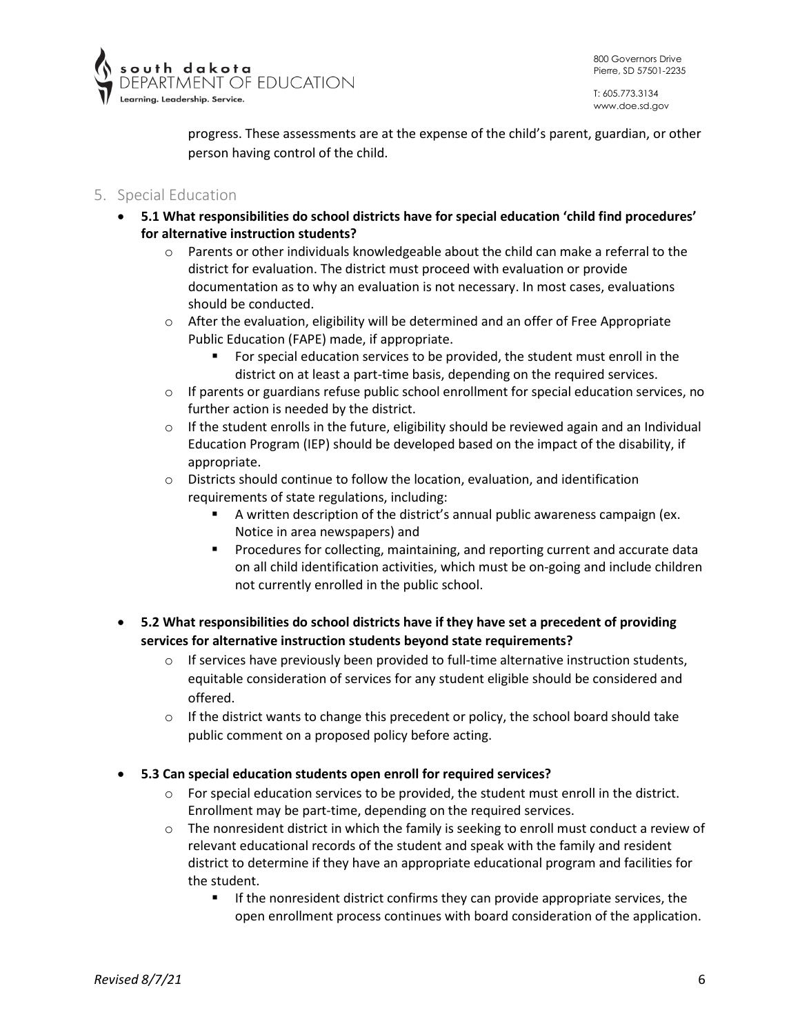

progress. These assessments are at the expense of the child's parent, guardian, or other person having control of the child.

# <span id="page-5-0"></span>5. Special Education

- **5.1 What responsibilities do school districts have for special education 'child find procedures' for alternative instruction students?**
	- $\circ$  Parents or other individuals knowledgeable about the child can make a referral to the district for evaluation. The district must proceed with evaluation or provide documentation as to why an evaluation is not necessary. In most cases, evaluations should be conducted.
	- o After the evaluation, eligibility will be determined and an offer of Free Appropriate Public Education (FAPE) made, if appropriate.
		- For special education services to be provided, the student must enroll in the district on at least a part-time basis, depending on the required services.
	- $\circ$  If parents or guardians refuse public school enrollment for special education services, no further action is needed by the district.
	- $\circ$  If the student enrolls in the future, eligibility should be reviewed again and an Individual Education Program (IEP) should be developed based on the impact of the disability, if appropriate.
	- o Districts should continue to follow the location, evaluation, and identification requirements of state regulations, including:
		- A written description of the district's annual public awareness campaign (ex. Notice in area newspapers) and
		- **Procedures for collecting, maintaining, and reporting current and accurate data** on all child identification activities, which must be on-going and include children not currently enrolled in the public school.
- **5.2 What responsibilities do school districts have if they have set a precedent of providing services for alternative instruction students beyond state requirements?**
	- $\circ$  If services have previously been provided to full-time alternative instruction students, equitable consideration of services for any student eligible should be considered and offered.
	- $\circ$  If the district wants to change this precedent or policy, the school board should take public comment on a proposed policy before acting.
- **5.3 Can special education students open enroll for required services?**
	- $\circ$  For special education services to be provided, the student must enroll in the district. Enrollment may be part-time, depending on the required services.
	- $\circ$  The nonresident district in which the family is seeking to enroll must conduct a review of relevant educational records of the student and speak with the family and resident district to determine if they have an appropriate educational program and facilities for the student.
		- **If the nonresident district confirms they can provide appropriate services, the** open enrollment process continues with board consideration of the application.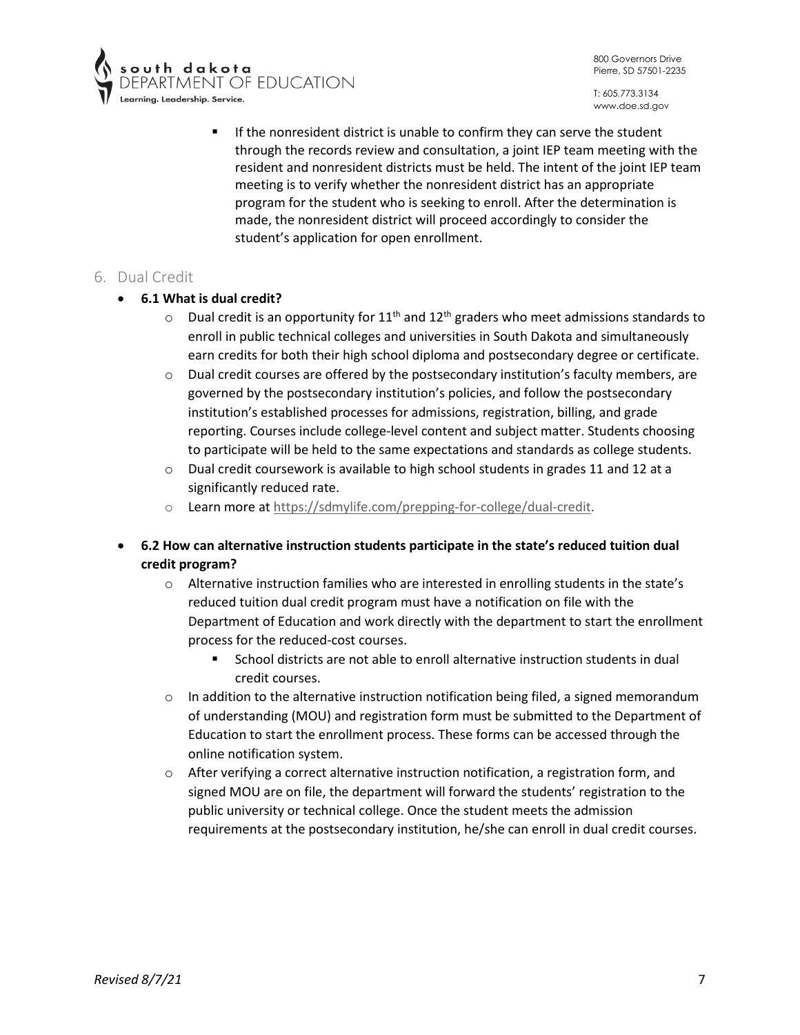800 Governors Drive Pierre, SD 57501-2235



- **s o u t h = d a k o t a**<br>DEPARTMENT OF EDUCATION
	- If the nonresident district is unable to confirm they can serve the student through the records review and consultation, a joint IEP team meeting with the resident and nonresident districts must be held. The intent of the joint IEP team meeting is to verify whether the nonresident district has an appropriate program for the student who is seeking to enroll. After the determination is made, the nonresident district will proceed accordingly to consider the student's application for open enrollment.

# <span id="page-6-0"></span>6. Dual Credit

#### • **6.1 What is dual credit?**

- $\circ$  Dual credit is an opportunity for 11<sup>th</sup> and 12<sup>th</sup> graders who meet admissions standards to enroll in public technical colleges and universities in South Dakota and simultaneously earn credits for both their high school diploma and postsecondary degree or certificate.
- $\circ$  Dual credit courses are offered by the postsecondary institution's faculty members, are governed by the postsecondary institution's policies, and follow the postsecondary institution's established processes for admissions, registration, billing, and grade reporting. Courses include college-level content and subject matter. Students choosing to participate will be held to the same expectations and standards as college students.
- $\circ$  Dual credit coursework is available to high school students in grades 11 and 12 at a significantly reduced rate.
- o Learn more at [https://sdmylife.com/prepping-for-college/dual-credit.](https://sdmylife.com/prepping-for-college/dual-credit)
- **6.2 How can alternative instruction students participate in the state's reduced tuition dual credit program?**
	- $\circ$  Alternative instruction families who are interested in enrolling students in the state's reduced tuition dual credit program must have a notification on file with the Department of Education and work directly with the department to start the enrollment process for the reduced-cost courses.
		- School districts are not able to enroll alternative instruction students in dual credit courses.
	- $\circ$  In addition to the alternative instruction notification being filed, a signed memorandum of understanding (MOU) and registration form must be submitted to the Department of Education to start the enrollment process. These forms can be accessed through the online notification system.
	- o After verifying a correct alternative instruction notification, a registration form, and signed MOU are on file, the department will forward the students' registration to the public university or technical college. Once the student meets the admission requirements at the postsecondary institution, he/she can enroll in dual credit courses.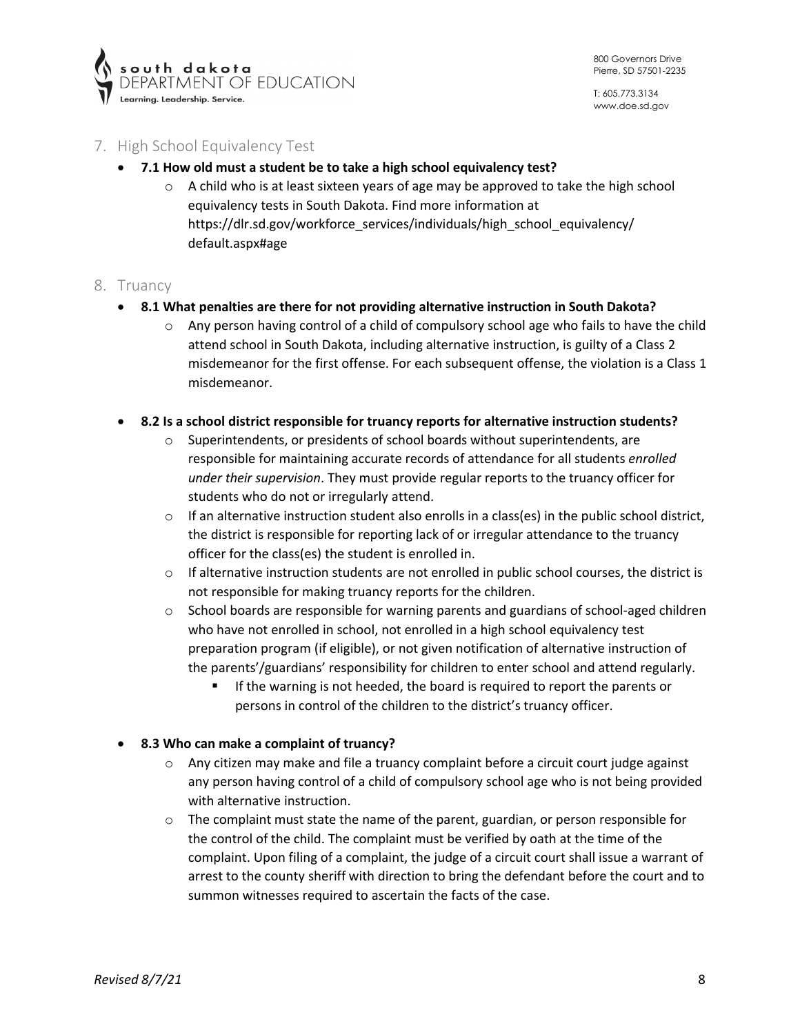

# <span id="page-7-0"></span>7. High School Equivalency Test

- **7.1 How old must a student be to take a high school equivalency test?**
	- $\circ$  A child who is at least sixteen years of age may be approved to take the high school equivalency tests in South Dakota. Find more information at [https://dlr.sd.gov/workforce\\_services/individuals/high\\_school\\_equivalency/](https://dlr.sd.gov/workforce_services/individuals/high_school_equivalency/default.aspx) [de](https://dlr.sd.gov/workforce_services/individuals/high_school_equivalency/default.aspx)fault.aspx#age

#### <span id="page-7-1"></span>8. Truancy

- **8.1 What penalties are there for not providing alternative instruction in South Dakota?**
	- $\circ$  Any person having control of a child of compulsory school age who fails to have the child attend school in South Dakota, including alternative instruction, is guilty of a Class 2 misdemeanor for the first offense. For each subsequent offense, the violation is a Class 1 misdemeanor.
- **8.2 Is a school district responsible for truancy reports for alternative instruction students?**
	- $\circ$  Superintendents, or presidents of school boards without superintendents, are responsible for maintaining accurate records of attendance for all students *enrolled under their supervision*. They must provide regular reports to the truancy officer for students who do not or irregularly attend.
	- $\circ$  If an alternative instruction student also enrolls in a class(es) in the public school district, the district is responsible for reporting lack of or irregular attendance to the truancy officer for the class(es) the student is enrolled in.
	- $\circ$  If alternative instruction students are not enrolled in public school courses, the district is not responsible for making truancy reports for the children.
	- $\circ$  School boards are responsible for warning parents and guardians of school-aged children who have not enrolled in school, not enrolled in a high school equivalency test preparation program (if eligible), or not given notification of alternative instruction of the parents'/guardians' responsibility for children to enter school and attend regularly.
		- **If the warning is not heeded, the board is required to report the parents or** persons in control of the children to the district's truancy officer.

#### • **8.3 Who can make a complaint of truancy?**

- $\circ$  Any citizen may make and file a truancy complaint before a circuit court judge against any person having control of a child of compulsory school age who is not being provided with alternative instruction.
- $\circ$  The complaint must state the name of the parent, guardian, or person responsible for the control of the child. The complaint must be verified by oath at the time of the complaint. Upon filing of a complaint, the judge of a circuit court shall issue a warrant of arrest to the county sheriff with direction to bring the defendant before the court and to summon witnesses required to ascertain the facts of the case.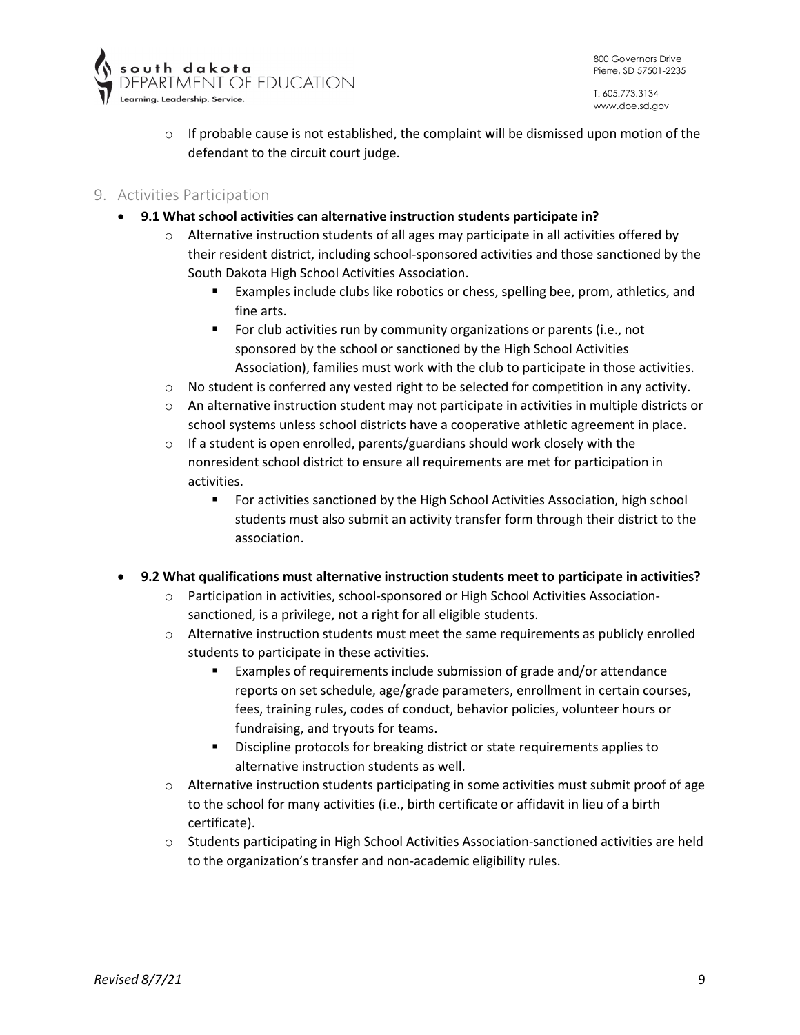





 $\circ$  If probable cause is not established, the complaint will be dismissed upon motion of the defendant to the circuit court judge.

### <span id="page-8-0"></span>9. Activities Participation

- **9.1 What school activities can alternative instruction students participate in?** 
	- $\circ$  Alternative instruction students of all ages may participate in all activities offered by their resident district, including school-sponsored activities and those sanctioned by the South Dakota High School Activities Association.
		- Examples include clubs like robotics or chess, spelling bee, prom, athletics, and fine arts.
		- **For club activities run by community organizations or parents (i.e., not** sponsored by the school or sanctioned by the High School Activities Association), families must work with the club to participate in those activities.
	- o No student is conferred any vested right to be selected for competition in any activity.
	- $\circ$  An alternative instruction student may not participate in activities in multiple districts or school systems unless school districts have a cooperative athletic agreement in place.
	- o If a student is open enrolled, parents/guardians should work closely with the nonresident school district to ensure all requirements are met for participation in activities.
		- For activities sanctioned by the High School Activities Association, high school students must also submit an activity transfer form through their district to the association.

#### • **9.2 What qualifications must alternative instruction students meet to participate in activities?**

- Participation in activities, school-sponsored or High School Activities Associationsanctioned, is a privilege, not a right for all eligible students.
- $\circ$  Alternative instruction students must meet the same requirements as publicly enrolled students to participate in these activities.
	- Examples of requirements include submission of grade and/or attendance reports on set schedule, age/grade parameters, enrollment in certain courses, fees, training rules, codes of conduct, behavior policies, volunteer hours or fundraising, and tryouts for teams.
	- Discipline protocols for breaking district or state requirements applies to alternative instruction students as well.
- $\circ$  Alternative instruction students participating in some activities must submit proof of age to the school for many activities (i.e., birth certificate or affidavit in lieu of a birth certificate).
- $\circ$  Students participating in High School Activities Association-sanctioned activities are held to the organization's transfer and non-academic eligibility rules.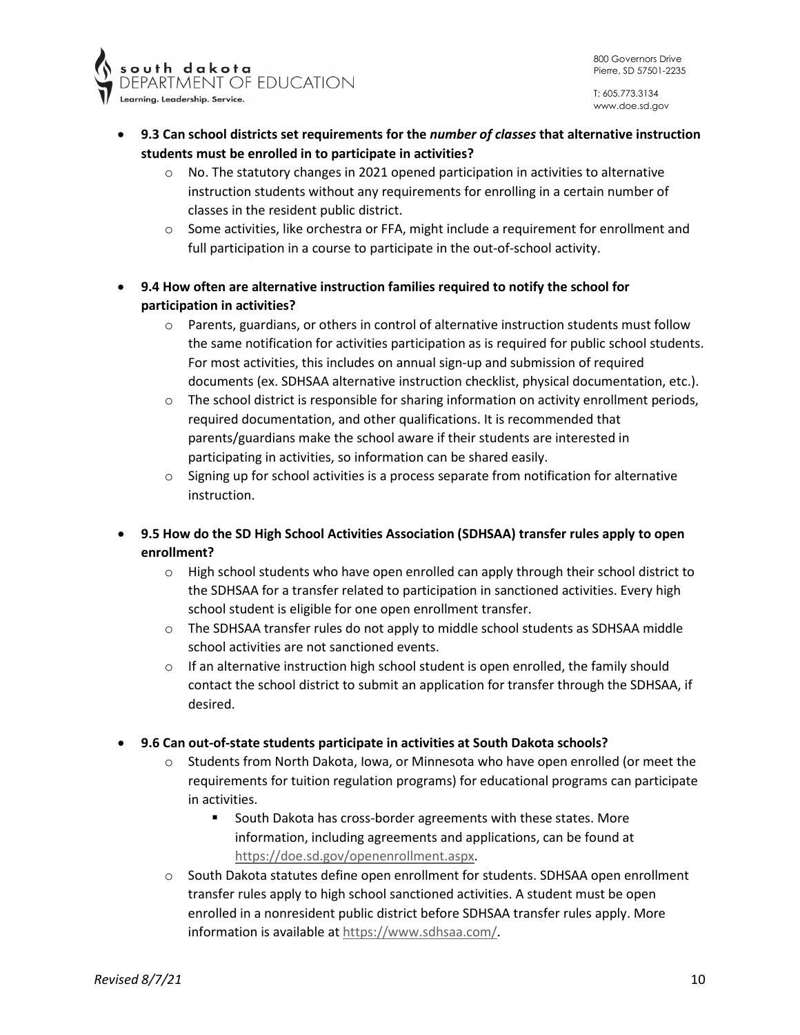



- **9.3 Can school districts set requirements for the** *number of classes* **that alternative instruction students must be enrolled in to participate in activities?**
	- $\circ$  No. The statutory changes in 2021 opened participation in activities to alternative instruction students without any requirements for enrolling in a certain number of classes in the resident public district.
	- o Some activities, like orchestra or FFA, might include a requirement for enrollment and full participation in a course to participate in the out-of-school activity.
- **9.4 How often are alternative instruction families required to notify the school for participation in activities?** 
	- $\circ$  Parents, guardians, or others in control of alternative instruction students must follow the same notification for activities participation as is required for public school students. For most activities, this includes on annual sign-up and submission of required documents (ex. SDHSAA alternative instruction checklist, physical documentation, etc.).
	- $\circ$  The school district is responsible for sharing information on activity enrollment periods, required documentation, and other qualifications. It is recommended that parents/guardians make the school aware if their students are interested in participating in activities, so information can be shared easily.
	- $\circ$  Signing up for school activities is a process separate from notification for alternative instruction.
- **9.5 How do the SD High School Activities Association (SDHSAA) transfer rules apply to open enrollment?** 
	- $\circ$  High school students who have open enrolled can apply through their school district to the SDHSAA for a transfer related to participation in sanctioned activities. Every high school student is eligible for one open enrollment transfer.
	- $\circ$  The SDHSAA transfer rules do not apply to middle school students as SDHSAA middle school activities are not sanctioned events.
	- $\circ$  If an alternative instruction high school student is open enrolled, the family should contact the school district to submit an application for transfer through the SDHSAA, if desired.
- **9.6 Can out-of-state students participate in activities at South Dakota schools?** 
	- o Students from North Dakota, Iowa, or Minnesota who have open enrolled (or meet the requirements for tuition regulation programs) for educational programs can participate in activities.
		- **South Dakota has cross-border agreements with these states. More** information, including agreements and applications, can be found at [https://doe.sd.gov/openenrollment.aspx.](https://doe.sd.gov/openenrollment.aspx)
	- $\circ$  South Dakota statutes define open enrollment for students. SDHSAA open enrollment transfer rules apply to high school sanctioned activities. A student must be open enrolled in a nonresident public district before SDHSAA transfer rules apply. More information is available a[t https://www.sdhsaa.com/.](https://www.sdhsaa.com/)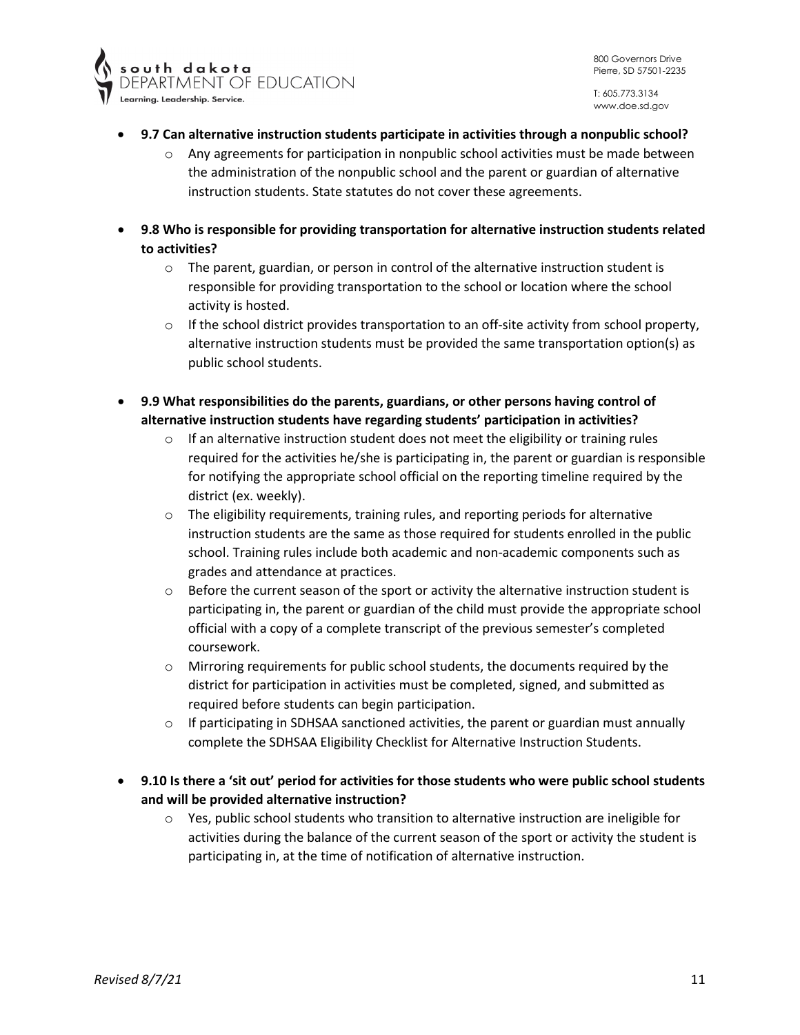

- **9.7 Can alternative instruction students participate in activities through a nonpublic school?** 
	- $\circ$  Any agreements for participation in nonpublic school activities must be made between the administration of the nonpublic school and the parent or guardian of alternative instruction students. State statutes do not cover these agreements.
- **9.8 Who is responsible for providing transportation for alternative instruction students related to activities?** 
	- $\circ$  The parent, guardian, or person in control of the alternative instruction student is responsible for providing transportation to the school or location where the school activity is hosted.
	- $\circ$  If the school district provides transportation to an off-site activity from school property, alternative instruction students must be provided the same transportation option(s) as public school students.
- **9.9 What responsibilities do the parents, guardians, or other persons having control of alternative instruction students have regarding students' participation in activities?** 
	- $\circ$  If an alternative instruction student does not meet the eligibility or training rules required for the activities he/she is participating in, the parent or guardian is responsible for notifying the appropriate school official on the reporting timeline required by the district (ex. weekly).
	- o The eligibility requirements, training rules, and reporting periods for alternative instruction students are the same as those required for students enrolled in the public school. Training rules include both academic and non-academic components such as grades and attendance at practices.
	- $\circ$  Before the current season of the sport or activity the alternative instruction student is participating in, the parent or guardian of the child must provide the appropriate school official with a copy of a complete transcript of the previous semester's completed coursework.
	- o Mirroring requirements for public school students, the documents required by the district for participation in activities must be completed, signed, and submitted as required before students can begin participation.
	- $\circ$  If participating in SDHSAA sanctioned activities, the parent or guardian must annually complete the SDHSAA Eligibility Checklist for Alternative Instruction Students.
- **9.10 Is there a 'sit out' period for activities for those students who were public school students and will be provided alternative instruction?** 
	- o Yes, public school students who transition to alternative instruction are ineligible for activities during the balance of the current season of the sport or activity the student is participating in, at the time of notification of alternative instruction.